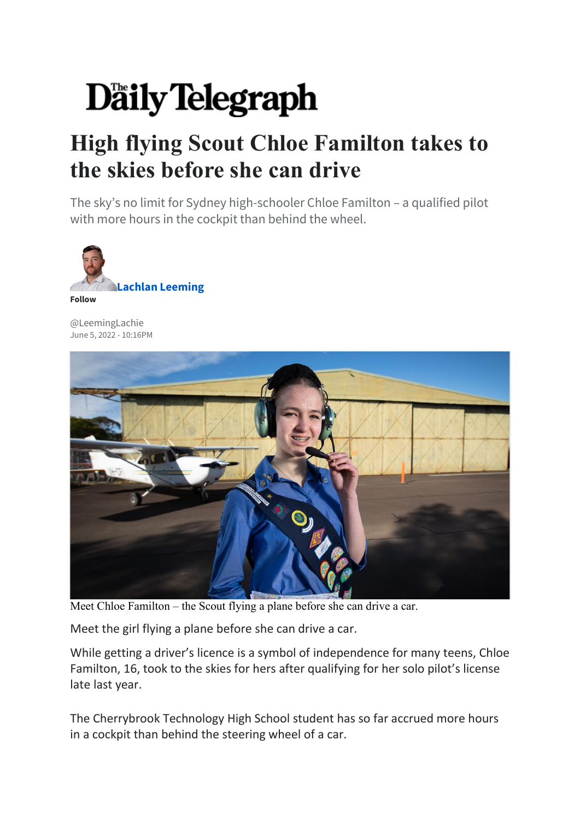## Daily Telegraph

## **High flying Scout Chloe Familton takes to the skies before she can drive**

The sky's no limit for Sydney high-schooler Chloe Familton – a qualified pilot with more hours in the cockpit than behind the wheel.



[@LeemingLachie](https://twitter.com/LeemingLachie) June 5, 2022 - 10:16PM



Meet Chloe Familton – the Scout flying a plane before she can drive a car.

Meet the girl flying a plane before she can drive a car.

While getting a driver's licence is a symbol of independence for many teens, Chloe Familton, 16, took to the skies for hers after qualifying for her solo pilot's license late last year.

The Cherrybrook Technology High School student has so far accrued more hours in a cockpit than behind the steering wheel of a car.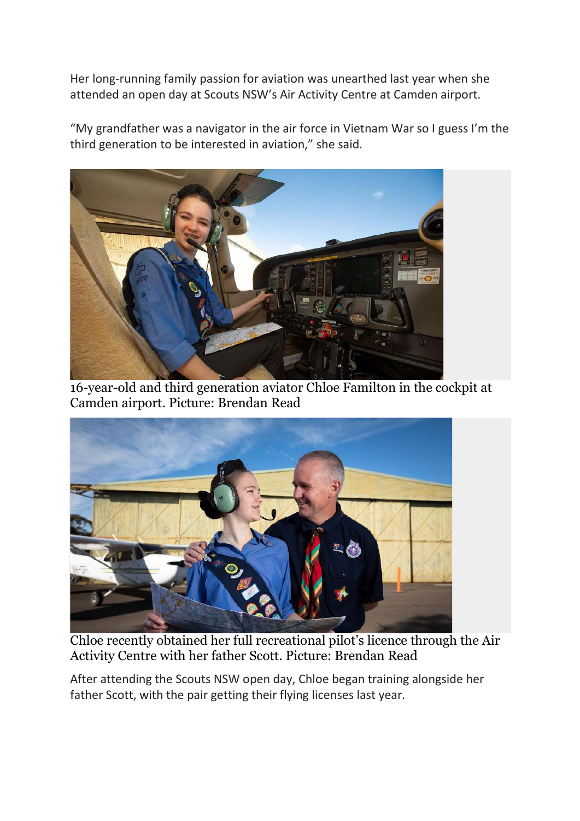Her long-running family passion for aviation was unearthed last year when she attended an open day at Scouts NSW's Air Activity Centre at Camden airport.

"My grandfather was a navigator in the air force in Vietnam War so I guess I'm the third generation to be interested in aviation," she said.



16-year-old and third generation aviator Chloe Familton in the cockpit at Camden airport. Picture: Brendan Read



Chloe recently obtained her full recreational pilot's licence through the Air Activity Centre with her father Scott. Picture: Brendan Read

After attending the Scouts NSW open day, Chloe began training alongside her father Scott, with the pair getting their flying licenses last year.